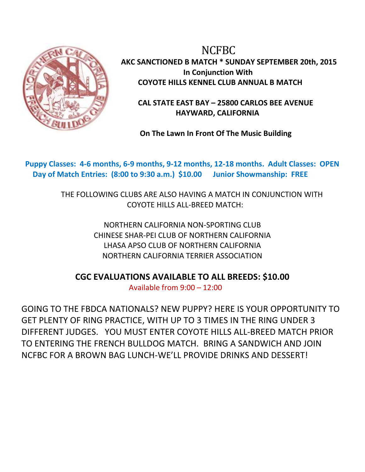

 NCFBC **AKC SANCTIONED B MATCH \* SUNDAY SEPTEMBER 20th, 2015 In Conjunction With COYOTE HILLS KENNEL CLUB ANNUAL B MATCH**

 **CAL STATE EAST BAY – 25800 CARLOS BEE AVENUE HAYWARD, CALIFORNIA**

**On The Lawn In Front Of The Music Building**

 **Puppy Classes: 4-6 months, 6-9 months, 9-12 months, 12-18 months. Adult Classes: OPEN Day of Match Entries: (8:00 to 9:30 a.m.) \$10.00 Junior Showmanship: FREE**

> THE FOLLOWING CLUBS ARE ALSO HAVING A MATCH IN CONJUNCTION WITH COYOTE HILLS ALL-BREED MATCH:

> > NORTHERN CALIFORNIA NON-SPORTING CLUB CHINESE SHAR-PEI CLUB OF NORTHERN CALIFORNIA LHASA APSO CLUB OF NORTHERN CALIFORNIA NORTHERN CALIFORNIA TERRIER ASSOCIATION

**CGC EVALUATIONS AVAILABLE TO ALL BREEDS: \$10.00**

Available from 9:00 – 12:00

GOING TO THE FBDCA NATIONALS? NEW PUPPY? HERE IS YOUR OPPORTUNITY TO GET PLENTY OF RING PRACTICE, WITH UP TO 3 TIMES IN THE RING UNDER 3 DIFFERENT JUDGES. YOU MUST ENTER COYOTE HILLS ALL-BREED MATCH PRIOR TO ENTERING THE FRENCH BULLDOG MATCH. BRING A SANDWICH AND JOIN NCFBC FOR A BROWN BAG LUNCH-WE'LL PROVIDE DRINKS AND DESSERT!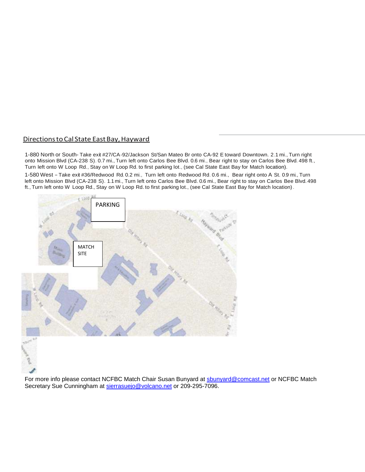## Directions to Cal State East Bay, Hayward

1-880 North or South- Take exit #27/CA-92/Jackson St/San Mateo Br onto CA-92 E toward Downtown. 2.1 mi., Turn right onto Mission Blvd (CA-238 S). 0.7 mi., Turn left onto Carlos Bee Blvd. 0.6 mi., Bear right to stay on Carlos Bee Blvd. 498 ft., Turn left onto W Loop Rd., Stay on W Loop Rd. to first parking lot., (see Cal State East Bay for Match location). 1-580 West -Take exit #36/Redwood Rd. 0.2 mi., Turn left onto Redwood Rd. 0.6 mi., Bear right onto <sup>A</sup> St. 0.9 mi., Turn left onto Mission Blvd (CA-238 S). 1.1mi., Turn left onto Carlos Bee Blvd. 0.6 mi., Bear right to stay on Carlos Bee Blvd.498 ft., Turn left onto W Loop Rd., Stay on W Loop Rd. to first parking lot., (see Cal State East Bay for Match location).



For more info please contact NCFBC Match Chair Susan Bunyard at [sbunyard@comcast.net](mailto:sbunyard@comcast.net) or NCFBC Match Secretary Sue Cunningham at [sierrasuejo@volcano.net](mailto:sierrasuejo@volcano.net) or 209-295-7096.